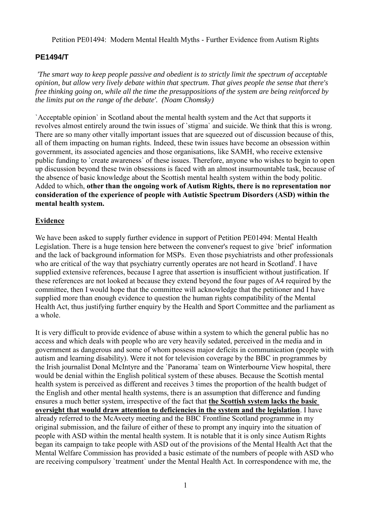# **PE1494/T**

*'The smart way to keep people passive and obedient is to strictly limit the spectrum of acceptable opinion, but allow very lively debate within that spectrum. That gives people the sense that there's free thinking going on, while all the time the presuppositions of the system are being reinforced by the limits put on the range of the debate'. (Noam Chomsky)* 

`Acceptable opinion` in Scotland about the mental health system and the Act that supports it revolves almost entirely around the twin issues of `stigma` and suicide. We think that this is wrong. There are so many other vitally important issues that are squeezed out of discussion because of this, all of them impacting on human rights. Indeed, these twin issues have become an obsession within government, its associated agencies and those organisations, like SAMH, who receive extensive public funding to `create awareness` of these issues. Therefore, anyone who wishes to begin to open up discussion beyond these twin obsessions is faced with an almost insurmountable task, because of the absence of basic knowledge about the Scottish mental health system within the body politic. Added to which, **other than the ongoing work of Autism Rights, there is no representation nor consideration of the experience of people with Autistic Spectrum Disorders (ASD) within the mental health system.** 

## **Evidence**

We have been asked to supply further evidence in support of Petition PE01494: Mental Health Legislation. There is a huge tension here between the convener's request to give `brief` information and the lack of background information for MSPs. Even those psychiatrists and other professionals who are critical of the way that psychiatry currently operates are not heard in Scotland<sup>i</sup>. I have supplied extensive references, because I agree that assertion is insufficient without justification. If these references are not looked at because they extend beyond the four pages of A4 required by the committee, then I would hope that the committee will acknowledge that the petitioner and I have supplied more than enough evidence to question the human rights compatibility of the Mental Health Act, thus justifying further enquiry by the Health and Sport Committee and the parliament as a whole.

It is very difficult to provide evidence of abuse within a system to which the general public has no access and which deals with people who are very heavily sedated, perceived in the media and in government as dangerous and some of whom possess major deficits in communication (people with autism and learning disability). Were it not for television coverage by the BBC in programmes by the Irish journalist Donal McIntyre and the `Panorama` team on Winterbourne View hospital, there would be denial within the English political system of these abuses. Because the Scottish mental health system is perceived as different and receives 3 times the proportion of the health budget of the English and other mental health systems, there is an assumption that difference and funding ensures a much better system, irrespective of the fact that **the Scottish system lacks the basic oversight that would draw attention to deficiencies in the system and the legislation**. I have already referred to the McAveety meeting and the BBC Frontline Scotland programme in my original submission, and the failure of either of these to prompt any inquiry into the situation of people with ASD within the mental health system. It is notable that it is only since Autism Rights began its campaign to take people with ASD out of the provisions of the Mental Health Act that the Mental Welfare Commission has provided a basic estimate of the numbers of people with ASD who are receiving compulsory `treatment` under the Mental Health Act. In correspondence with me, the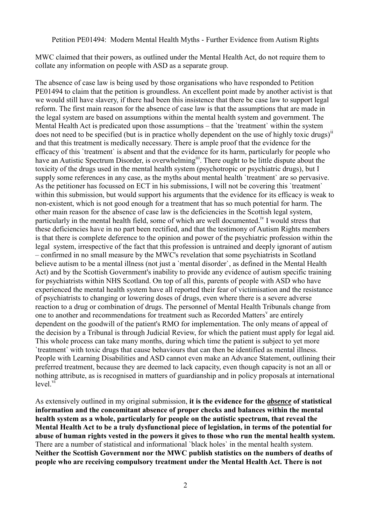MWC claimed that their powers, as outlined under the Mental Health Act, do not require them to collate any information on people with ASD as a separate group.

The absence of case law is being used by those organisations who have responded to Petition PE01494 to claim that the petition is groundless. An excellent point made by another activist is that we would still have slavery, if there had been this insistence that there be case law to support legal reform. The first main reason for the absence of case law is that the assumptions that are made in the legal system are based on assumptions within the mental health system and government. The Mental Health Act is predicated upon those assumptions – that the `treatment` within the system does not need to be specified (but is in practice wholly dependent on the use of highly toxic drugs)<sup>ii</sup> and that this treatment is medically necessary. There is ample proof that the evidence for the efficacy of this `treatment` is absent and that the evidence for its harm, particularly for people who have an Autistic Spectrum Disorder, is overwhelming<sup>iii</sup>. There ought to be little dispute about the toxicity of the drugs used in the mental health system (psychotropic or psychiatric drugs), but I supply some references in any case, as the myths about mental health `treatment` are so pervasive. As the petitioner has focussed on ECT in his submissions, I will not be covering this `treatment` within this submission, but would support his arguments that the evidence for its efficacy is weak to non-existent, which is not good enough for a treatment that has so much potential for harm. The other main reason for the absence of case law is the deficiencies in the Scottish legal system, particularly in the mental health field, some of which are well documented.<sup>iv</sup> I would stress that these deficiencies have in no part been rectified, and that the testimony of Autism Rights members is that there is complete deference to the opinion and power of the psychiatric profession within the legal system, irrespective of the fact that this profession is untrained and deeply ignorant of autism – confirmed in no small measure by the MWC's revelation that some psychiatrists in Scotland believe autism to be a mental illness (not just a `mental disorder`, as defined in the Mental Health Act) and by the Scottish Government's inability to provide any evidence of autism specific training for psychiatrists within NHS Scotland. On top of all this, parents of people with ASD who have experienced the mental health system have all reported their fear of victimisation and the resistance of psychiatrists to changing or lowering doses of drugs, even where there is a severe adverse reaction to a drug or combination of drugs. The personnel of Mental Health Tribunals change from one to another and recommendations for treatment such as Recorded Matters<sup>v</sup> are entirely dependent on the goodwill of the patient's RMO for implementation. The only means of appeal of the decision by a Tribunal is through Judicial Review, for which the patient must apply for legal aid. This whole process can take many months, during which time the patient is subject to yet more `treatment` with toxic drugs that cause behaviours that can then be identified as mental illness. People with Learning Disabilities and ASD cannot even make an Advance Statement, outlining their preferred treatment, because they are deemed to lack capacity, even though capacity is not an all or nothing attribute, as is recognised in matters of guardianship and in policy proposals at international  $level.$ <sup>v<sub>1</sub></sup>

As extensively outlined in my original submission, **it is the evidence for the** *absence* **of statistical information and the concomitant absence of proper checks and balances within the mental health system as a whole, particularly for people on the autistic spectrum, that reveal the Mental Health Act to be a truly dysfunctional piece of legislation, in terms of the potential for abuse of human rights vested in the powers it gives to those who run the mental health system.**  There are a number of statistical and informational `black holes` in the mental health system. **Neither the Scottish Government nor the MWC publish statistics on the numbers of deaths of people who are receiving compulsory treatment under the Mental Health Act. There is not**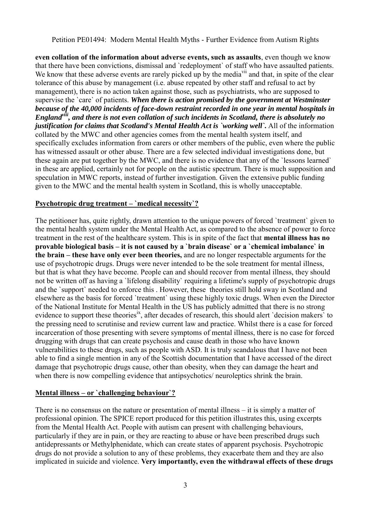**even collation of the information about adverse events, such as assaults**, even though we know that there have been convictions, dismissal and `redeployment` of staff who have assaulted patients. We know that these adverse events are rarely picked up by the media<sup>vii</sup> and that, in spite of the clear tolerance of this abuse by management (i.e. abuse repeated by other staff and refusal to act by management), there is no action taken against those, such as psychiatrists, who are supposed to supervise the `care` of patients. *When there is action promised by the government at Westminster because of the 40,000 incidents of face-down restraint recorded in one year in mental hospitals in Englandviii, and there is not even collation of such incidents in Scotland, there is absolutely no justification for claims that Scotland's Mental Health Act is `working well`.* All of the information collated by the MWC and other agencies comes from the mental health system itself, and specifically excludes information from carers or other members of the public, even where the public has witnessed assault or other abuse. There are a few selected individual investigations done, but these again are put together by the MWC, and there is no evidence that any of the `lessons learned` in these are applied, certainly not for people on the autistic spectrum. There is much supposition and speculation in MWC reports, instead of further investigation. Given the extensive public funding given to the MWC and the mental health system in Scotland, this is wholly unacceptable.

### **Psychotropic drug treatment – `medical necessity`?**

The petitioner has, quite rightly, drawn attention to the unique powers of forced `treatment` given to the mental health system under the Mental Health Act, as compared to the absence of power to force treatment in the rest of the healthcare system. This is in spite of the fact that **mental illness has no provable biological basis – it is not caused by a `brain disease` or a `chemical imbalance` in the brain – these have only ever been theories,** and are no longer respectable arguments for the use of psychotropic drugs. Drugs were never intended to be the sole treatment for mental illness, but that is what they have become. People can and should recover from mental illness, they should not be written off as having a `lifelong disability` requiring a lifetime's supply of psychotropic drugs and the `support` needed to enforce this . However, these theories still hold sway in Scotland and elsewhere as the basis for forced `treatment` using these highly toxic drugs. When even the Director of the National Institute for Mental Health in the US has publicly admitted that there is no strong evidence to support these theories<sup>ix</sup>, after decades of research, this should alert `decision makers` to the pressing need to scrutinise and review current law and practice. Whilst there is a case for forced incarceration of those presenting with severe symptoms of mental illness, there is no case for forced drugging with drugs that can create psychosis and cause death in those who have known vulnerabilities to these drugs, such as people with ASD. It is truly scandalous that I have not been able to find a single mention in any of the Scottish documentation that I have accessed of the direct damage that psychotropic drugs cause, other than obesity, when they can damage the heart and when there is now compelling evidence that antipsychotics/ neuroleptics shrink the brain.

### **Mental illness – or `challenging behaviour`?**

There is no consensus on the nature or presentation of mental illness – it is simply a matter of professional opinion. The SPICE report produced for this petition illustrates this, using excerpts from the Mental Health Act. People with autism can present with challenging behaviours, particularly if they are in pain, or they are reacting to abuse or have been prescribed drugs such antidepressants or Methylphenidate, which can create states of apparent psychosis. Psychotropic drugs do not provide a solution to any of these problems, they exacerbate them and they are also implicated in suicide and violence. **Very importantly, even the withdrawal effects of these drugs**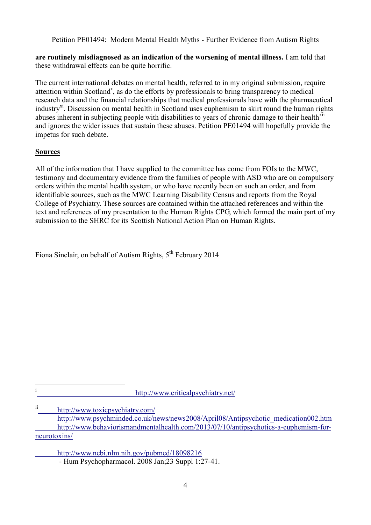**are routinely misdiagnosed as an indication of the worsening of mental illness.** I am told that these withdrawal effects can be quite horrific.

The current international debates on mental health, referred to in my original submission, require attention within Scotland<sup>x</sup>, as do the efforts by professionals to bring transparency to medical research data and the financial relationships that medical professionals have with the pharmaeutical industry<sup>xi</sup>. Discussion on mental health in Scotland uses euphemism to skirt round the human rights abuses inherent in subjecting people with disabilities to years of chronic damage to their health<sup>xii</sup> and ignores the wider issues that sustain these abuses. Petition PE01494 will hopefully provide the impetus for such debate.

# **Sources**

|<br>i

All of the information that I have supplied to the committee has come from FOIs to the MWC, testimony and documentary evidence from the families of people with ASD who are on compulsory orders within the mental health system, or who have recently been on such an order, and from identifiable sources, such as the MWC Learning Disability Census and reports from the Royal College of Psychiatry. These sources are contained within the attached references and within the text and references of my presentation to the Human Rights CPG, which formed the main part of my submission to the SHRC for its Scottish National Action Plan on Human Rights.

Fiona Sinclair, on behalf of Autism Rights, 5<sup>th</sup> February 2014

<http://www.ncbi.nlm.nih.gov/pubmed/18098216>

<http://www.criticalpsychiatry.net/>

ii<http://www.toxicpsychiatry.com/>

[http://www.psychminded.co.uk/news/news2008/April08/Antipsychotic\\_medication002.htm](http://www.psychminded.co.uk/news/news2008/April08/Antipsychotic_medication002.htm)  [http://www.behaviorismandmentalhealth.com/2013/07/10/antipsychotics-a-euphemism-for](http://www.behaviorismandmentalhealth.com/2013/07/10/antipsychotics-a-euphemism-for-neurotoxins/)[neurotoxins/](http://www.behaviorismandmentalhealth.com/2013/07/10/antipsychotics-a-euphemism-for-neurotoxins/)

 <sup>-</sup> Hum Psychopharmacol. 2008 Jan;23 Suppl 1:27-41.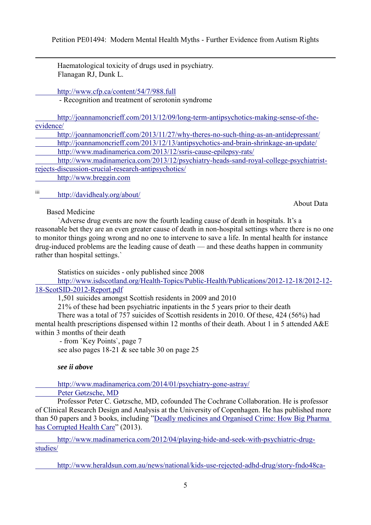Haematological toxicity of drugs used in psychiatry. Flanagan RJ, Dunk L.

## <http://www.cfp.ca/content/54/7/988.full>

- Recognition and treatment of serotonin syndrome

 [http://joannamoncrieff.com/2013/12/09/long-term-antipsychotics-making-sense-of-the](http://joannamoncrieff.com/2013/12/09/long-term-antipsychotics-making-sense-of-the-evidence/)[evidence/](http://joannamoncrieff.com/2013/12/09/long-term-antipsychotics-making-sense-of-the-evidence/)

<http://joannamoncrieff.com/2013/11/27/why-theres-no-such-thing-as-an-antidepressant/> <http://joannamoncrieff.com/2013/12/13/antipsychotics-and-brain-shrinkage-an-update/>

<http://www.madinamerica.com/2013/12/ssris-cause-epilepsy-rats/>

 [http://www.madinamerica.com/2013/12/psychiatry-heads-sand-royal-college-psychiatrist](http://www.madinamerica.com/2013/12/psychiatry-heads-sand-royal-college-psychiatrist-rejects-discussion-crucial-research-antipsychotics/)[rejects-discussion-crucial-research-antipsychotics/](http://www.madinamerica.com/2013/12/psychiatry-heads-sand-royal-college-psychiatrist-rejects-discussion-crucial-research-antipsychotics/)

 [http://www.breggin.com](http://www.breggin.com/)

iii<http://davidhealy.org/about/>

About Data

## Based Medicine

-

 `Adverse drug events are now the fourth leading cause of death in hospitals. It's a reasonable bet they are an even greater cause of death in non-hospital settings where there is no one to monitor things going wrong and no one to intervene to save a life. In mental health for instance drug-induced problems are the leading cause of death — and these deaths happen in community rather than hospital settings.`

Statistics on suicides - only published since 2008

[http://www.isdscotland.org/Health-Topics/Public-Health/Publications/2012-12-18/2012-12-](http://www.isdscotland.org/Health-Topics/Public-Health/Publications/2012-12-18/2012-12-18-ScotSID-2012-Report.pdf) [18-ScotSID-2012-Report.pdf](http://www.isdscotland.org/Health-Topics/Public-Health/Publications/2012-12-18/2012-12-18-ScotSID-2012-Report.pdf)

1,501 suicides amongst Scottish residents in 2009 and 2010

21% of these had been psychiatric inpatients in the 5 years prior to their death

 There was a total of 757 suicides of Scottish residents in 2010. Of these, 424 (56%) had mental health prescriptions dispensed within 12 months of their death. About 1 in 5 attended A&E within 3 months of their death

 - from `Key Points`, page 7 see also pages 18-21 & see table 30 on page 25

# *see ii above*

<http://www.madinamerica.com/2014/01/psychiatry-gone-astray/>

 [Peter Gøtzsche, MD](http://www.madinamerica.com/author/pgotzsche/)

 Professor Peter C. Gøtzsche, MD, cofounded The Cochrane Collaboration. He is professor of Clinical Research Design and Analysis at the University of Copenhagen. He has published more than 50 papers and 3 books, including ["Deadly medicines and Organised Crime: How Big Pharma](http://www.amazon.com/Deadly-Medicines-Organised-Crime-ebook/dp/B00G353WCE/ref=sr_1_1?ie=UTF8&qid=1383517560&sr=8-1&keywords=deadly+medicines+and+organised+crime+how+big+pharma+has+corrupted+healthcare)  [has Corrupted Health Care"](http://www.amazon.com/Deadly-Medicines-Organised-Crime-ebook/dp/B00G353WCE/ref=sr_1_1?ie=UTF8&qid=1383517560&sr=8-1&keywords=deadly+medicines+and+organised+crime+how+big+pharma+has+corrupted+healthcare) (2013).

 [http://www.madinamerica.com/2012/04/playing-hide-and-seek-with-psychiatric-drug](http://www.madinamerica.com/2012/04/playing-hide-and-seek-with-psychiatric-drug-studies/)[studies/](http://www.madinamerica.com/2012/04/playing-hide-and-seek-with-psychiatric-drug-studies/)

 [http://www.heraldsun.com.au/news/national/kids-use-rejected-adhd-drug/story-fndo48ca-](http://www.heraldsun.com.au/news/national/kids-use-rejected-adhd-drug/story-fndo48ca-1226468130766)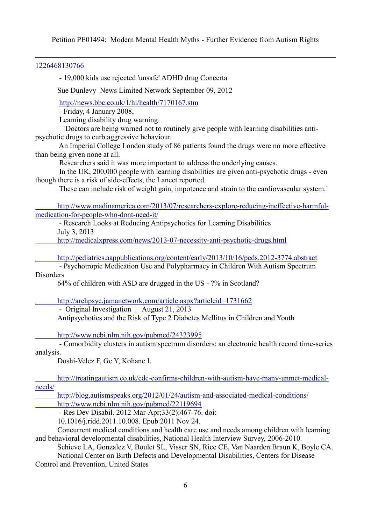#### [1226468130766](http://www.heraldsun.com.au/news/national/kids-use-rejected-adhd-drug/story-fndo48ca-1226468130766)

-

- 19,000 kids use rejected 'unsafe' ADHD drug Concerta

Sue Dunlevy News Limited Network September 09, 2012

<http://news.bbc.co.uk/1/hi/health/7170167.stm>

- Friday, 4 January 2008,

Learning disability drug warning

 `Doctors are being warned not to routinely give people with learning disabilities antipsychotic drugs to curb aggressive behaviour.

 An Imperial College London study of 86 patients found the drugs were no more effective than being given none at all.

Researchers said it was more important to address the underlying causes.

 In the UK, 200,000 people with learning disabilities are given anti-psychotic drugs - even though there is a risk of side-effects, the Lancet reported.

These can include risk of weight gain, impotence and strain to the cardiovascular system.`

 [http://www.madinamerica.com/2013/07/researchers-explore-reducing-ineffective-harmful](http://www.madinamerica.com/2013/07/researchers-explore-reducing-ineffective-harmful-medication-for-people-who-dont-need-it/)[medication-for-people-who-dont-need-it/](http://www.madinamerica.com/2013/07/researchers-explore-reducing-ineffective-harmful-medication-for-people-who-dont-need-it/)

 - Research Looks at Reducing Antipsychotics for Learning Disabilities July 3, 2013

<http://medicalxpress.com/news/2013-07-necessity-anti-psychotic-drugs.html>

<http://pediatrics.aappublications.org/content/early/2013/10/16/peds.2012-3774.abstract>

 - Psychotropic Medication Use and Polypharmacy in Children With Autism Spectrum **Disorders** 

64% of children with ASD are drugged in the US - ?% in Scotland?

<http://archpsyc.jamanetwork.com/article.aspx?articleid=1731662>

- Original Investigation | August 21, 2013

Antipsychotics and the Risk of Type 2 Diabetes Mellitus in Children and Youth

<http://www.ncbi.nlm.nih.gov/pubmed/24323995>

 - Comorbidity clusters in autism spectrum disorders: an electronic health record time-series analysis.

Doshi-Velez F, Ge Y, Kohane I.

 [http://treatingautism.co.uk/cdc-confirms-children-with-autism-have-many-unmet-medical](http://treatingautism.co.uk/cdc-confirms-children-with-autism-have-many-unmet-medical-needs/)[needs/](http://treatingautism.co.uk/cdc-confirms-children-with-autism-have-many-unmet-medical-needs/)

<http://blog.autismspeaks.org/2012/01/24/autism-and-associated-medical-conditions/> <http://www.ncbi.nlm.nih.gov/pubmed/22119694>

- Res Dev Disabil. 2012 Mar-Apr;33(2):467-76. doi:

10.1016/j.ridd.2011.10.008. Epub 2011 Nov 24.

 Concurrent medical conditions and health care use and needs among children with learning and behavioral developmental disabilities, National Health Interview Survey, 2006-2010.

 Schieve LA, Gonzalez V, Boulet SL, Visser SN, Rice CE, Van Naarden Braun K, Boyle CA. National Center on Birth Defects and Developmental Disabilities, Centers for Disease

Control and Prevention, United States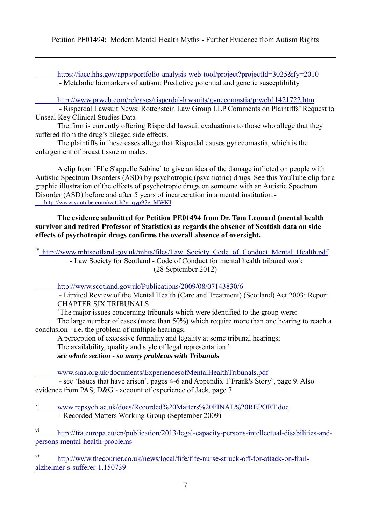-

<https://iacc.hhs.gov/apps/portfolio-analysis-web-tool/project?projectId=3025&fy=2010> - Metabolic biomarkers of autism: Predictive potential and genetic susceptibility

<http://www.prweb.com/releases/risperdal-lawsuits/gynecomastia/prweb11421722.htm>

 - Risperdal Lawsuit News: Rottenstein Law Group LLP Comments on Plaintiffs' Request to Unseal Key Clinical Studies Data

 The firm is currently offering Risperdal lawsuit evaluations to those who allege that they suffered from the drug's alleged side effects.

 The plaintiffs in these cases allege that Risperdal causes gynecomastia, which is the enlargement of breast tissue in males.

 A clip from `Elle S'appelle Sabine` to give an idea of the damage inflicted on people with Autistic Spectrum Disorders (ASD) by psychotropic (psychiatric) drugs. See this YouTube clip for a graphic illustration of the effects of psychotropic drugs on someone with an Autistic Spectrum Disorder (ASD) before and after 5 years of incarceration in a mental institution:  [http://www.youtube.com/watch?v=qyp97e\\_MWKI](http://www.youtube.com/watch?v=qyp97e_MWKI)

 **The evidence submitted for Petition PE01494 from Dr. Tom Leonard (mental health survivor and retired Professor of Statistics) as regards the absence of Scottish data on side effects of psychotropic drugs confirms the overall absence of oversight.** 

iv [http://www.mhtscotland.gov.uk/mhts/files/Law\\_Society\\_Code\\_of\\_Conduct\\_Mental\\_Health.pdf](http://www.mhtscotland.gov.uk/mhts/files/Law_Society_Code_of_Conduct_Mental_Health.pdf) - Law Society for Scotland - Code of Conduct for mental health tribunal work (28 September 2012)

<http://www.scotland.gov.uk/Publications/2009/08/07143830/6>

 - Limited Review of the Mental Health (Care and Treatment) (Scotland) Act 2003: Report CHAPTER SIX TRIBUNALS

`The major issues concerning tribunals which were identified to the group were:

The large number of cases (more than 50%) which require more than one hearing to reach a conclusion - i.e. the problem of multiple hearings;

A perception of excessive formality and legality at some tribunal hearings; The availability, quality and style of legal representation.`  *see whole section - so many problems with Tribunals* 

[www.siaa.org.uk/documents/ExperiencesofMentalHealthTribunals.pdf](http://www.siaa.org.uk/documents/ExperiencesofMentalHealthTribunals.pdf)

 - see `Issues that have arisen`, pages 4-6 and Appendix 1`Frank's Story`, page 9. Also evidence from PAS, D&G - account of experience of Jack, page 7

v  [www.rcpsych.ac.uk/docs/Recorded%20Matters%20FINAL%20REPORT.doc](http://www.rcpsych.ac.uk/docs/Recorded%20Matters%20FINAL%20REPORT.doc) - Recorded Matters Working Group (September 2009)

<sup>vi</sup> [http://fra.europa.eu/en/publication/2013/legal-capacity-persons-intellectual-disabilities-and](http://fra.europa.eu/en/publication/2013/legal-capacity-persons-intellectual-disabilities-and-persons-mental-health-problems)[persons-mental-health-problems](http://fra.europa.eu/en/publication/2013/legal-capacity-persons-intellectual-disabilities-and-persons-mental-health-problems)

vii [http://www.thecourier.co.uk/news/local/fife/fife-nurse-struck-off-for-attack-on-frail](http://www.thecourier.co.uk/news/local/fife/fife-nurse-struck-off-for-attack-on-frail-alzheimer-s-sufferer-1.150739)[alzheimer-s-sufferer-1.150739](http://www.thecourier.co.uk/news/local/fife/fife-nurse-struck-off-for-attack-on-frail-alzheimer-s-sufferer-1.150739)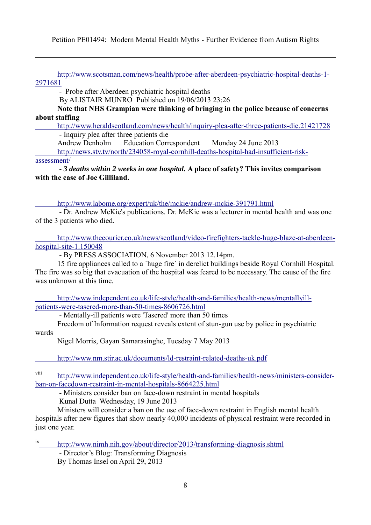[http://www.scotsman.com/news/health/probe-after-aberdeen-psychiatric-hospital-deaths-1-](http://www.scotsman.com/news/health/probe-after-aberdeen-psychiatric-hospital-deaths-1-2971681) [2971681](http://www.scotsman.com/news/health/probe-after-aberdeen-psychiatric-hospital-deaths-1-2971681)

- Probe after Aberdeen psychiatric hospital deaths

By ALISTAIR MUNRO Published on 19/06/2013 23:26

**Note that NHS Grampian were thinking of bringing in the police because of concerns about staffing** 

<http://www.heraldscotland.com/news/health/inquiry-plea-after-three-patients-die.21421728>

- Inquiry plea after three patients die

Education Correspondent Monday 24 June 2013

 [http://news.stv.tv/north/234058-royal-cornhill-deaths-hospital-had-insufficient-risk](http://news.stv.tv/north/234058-royal-cornhill-deaths-hospital-had-insufficient-risk-assessment/)[assessment/](http://news.stv.tv/north/234058-royal-cornhill-deaths-hospital-had-insufficient-risk-assessment/)

 - *3 deaths within 2 weeks in one hospital.* **A place of safety? This invites comparison with the case of Joe Gilliland.** 

<http://www.labome.org/expert/uk/the/mckie/andrew-mckie-391791.html>

 - Dr. Andrew McKie's publications. Dr. McKie was a lecturer in mental health and was one of the 3 patients who died.

 [http://www.thecourier.co.uk/news/scotland/video-firefighters-tackle-huge-blaze-at-aberdeen](http://www.thecourier.co.uk/news/scotland/video-firefighters-tackle-huge-blaze-at-aberdeen-hospital-site-1.150048)[hospital-site-1.150048](http://www.thecourier.co.uk/news/scotland/video-firefighters-tackle-huge-blaze-at-aberdeen-hospital-site-1.150048)

- By PRESS ASSOCIATION, 6 November 2013 12.14pm.

 15 fire appliances called to a `huge fire` in derelict buildings beside Royal Cornhill Hospital. The fire was so big that evacuation of the hospital was feared to be necessary. The cause of the fire was unknown at this time.

 [http://www.independent.co.uk/life-style/health-and-families/health-news/mentallyill](http://www.independent.co.uk/life-style/health-and-families/health-news/mentallyill-patients-were-tasered-more-than-50-times-8606726.html)[patients-were-tasered-more-than-50-times-8606726.html](http://www.independent.co.uk/life-style/health-and-families/health-news/mentallyill-patients-were-tasered-more-than-50-times-8606726.html)

- Mentally-ill patients were 'Tasered' more than 50 times

Freedom of Information request reveals extent of stun-gun use by police in psychiatric

### wards

-

Nigel Morris, Gayan Samarasinghe, Tuesday 7 May 2013

<http://www.nm.stir.ac.uk/documents/ld-restraint-related-deaths-uk.pdf>

viii [http://www.independent.co.uk/life-style/health-and-families/health-news/ministers-consider](http://www.independent.co.uk/life-style/health-and-families/health-news/ministers-consider-ban-on-facedown-restraint-in-mental-hospitals-8664225.html)[ban-on-facedown-restraint-in-mental-hospitals-8664225.html](http://www.independent.co.uk/life-style/health-and-families/health-news/ministers-consider-ban-on-facedown-restraint-in-mental-hospitals-8664225.html)

 - Ministers consider ban on face-down restraint in mental hospitals Kunal Dutta Wednesday, 19 June 2013

 Ministers will consider a ban on the use of face-down restraint in English mental health hospitals after new figures that show nearly 40,000 incidents of physical restraint were recorded in just one year.

ix<http://www.nimh.nih.gov/about/director/2013/transforming-diagnosis.shtml>

- Director's Blog: Transforming Diagnosis

By Thomas Insel on April 29, 2013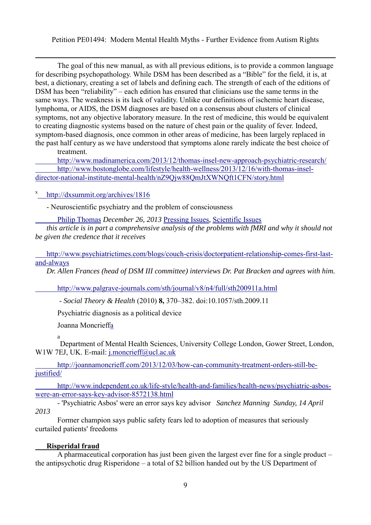The goal of this new manual, as with all previous editions, is to provide a common language for describing psychopathology. While DSM has been described as a "Bible" for the field, it is, at best, a dictionary, creating a set of labels and defining each. The strength of each of the editions of DSM has been "reliability" – each edition has ensured that clinicians use the same terms in the same ways. The weakness is its lack of validity. Unlike our definitions of ischemic heart disease, lymphoma, or AIDS, the DSM diagnoses are based on a consensus about clusters of clinical symptoms, not any objective laboratory measure. In the rest of medicine, this would be equivalent to creating diagnostic systems based on the nature of chest pain or the quality of fever. Indeed, symptom-based diagnosis, once common in other areas of medicine, has been largely replaced in the past half century as we have understood that symptoms alone rarely indicate the best choice of

treatment.

-

<http://www.madinamerica.com/2013/12/thomas-insel-new-approach-psychiatric-research/>  [http://www.bostonglobe.com/lifestyle/health-wellness/2013/12/16/with-thomas-insel](http://www.bostonglobe.com/lifestyle/health-wellness/2013/12/16/with-thomas-insel-director-national-institute-mental-health/nZ9Qjw88QmJtXWNQft1CFN/story.html)[director-national-institute-mental-health/nZ9Qjw88QmJtXWNQft1CFN/story.html](http://www.bostonglobe.com/lifestyle/health-wellness/2013/12/16/with-thomas-insel-director-national-institute-mental-health/nZ9Qjw88QmJtXWNQft1CFN/story.html)

x <http://dxsummit.org/archives/1816>

- Neuroscientific psychiatry and the problem of consciousness

 [Philip Thomas](http://dxsummit.org/archives/author/thomasp) *December 26, 2013* [Pressing Issues](http://dxsummit.org/archives/category/issues)*,* [Scientific Issues](http://dxsummit.org/archives/category/issues/science)

 *this article is in part a comprehensive analysis of the problems with fMRI and why it should not be given the credence that it receives* 

 [http://www.psychiatrictimes.com/blogs/couch-crisis/doctorpatient-relationship-comes-first-last](http://www.psychiatrictimes.com/blogs/couch-crisis/doctorpatient-relationship-comes-first-last-and-always)[and-always](http://www.psychiatrictimes.com/blogs/couch-crisis/doctorpatient-relationship-comes-first-last-and-always)

 *Dr. Allen Frances (head of DSM III committee) interviews Dr. Pat Bracken and agrees with him.* 

<http://www.palgrave-journals.com/sth/journal/v8/n4/full/sth200911a.html>

- *Social Theory & Health* (2010) **8,** 370–382. doi:10.1057/sth.2009.11

Psychiatric diagnosis as a political device

Joanna Moncrief[fa](http://www.palgrave-journals.com/sth/journal/v8/n4/full/sth200911a.html#aff1)

 a Department of Mental Health Sciences, University College London, Gower Street, London, W1W 7EJ, UK. E-mail: [j.moncrieff@ucl.ac.uk](mailto:j.moncrieff@ucl.ac.uk)

 [http://joannamoncrieff.com/2013/12/03/how-can-community-treatment-orders-still-be](http://joannamoncrieff.com/2013/12/03/how-can-community-treatment-orders-still-be-justified/)[justified/](http://joannamoncrieff.com/2013/12/03/how-can-community-treatment-orders-still-be-justified/)

 [http://www.independent.co.uk/life-style/health-and-families/health-news/psychiatric-asbos](http://www.independent.co.uk/life-style/health-and-families/health-news/psychiatric-asbos-were-an-error-says-key-advisor-8572138.html)[were-an-error-says-key-advisor-8572138.html](http://www.independent.co.uk/life-style/health-and-families/health-news/psychiatric-asbos-were-an-error-says-key-advisor-8572138.html)

 - 'Psychiatric Asbos' were an error says key advisor *Sanchez Manning Sunday, 14 April 2013*

 Former champion says public safety fears led to adoption of measures that seriously curtailed patients' freedoms

### **Risperidal fraud**

 A pharmaceutical corporation has just been given the largest ever fine for a single product – the antipsychotic drug Risperidone – a total of \$2 billion handed out by the US Department of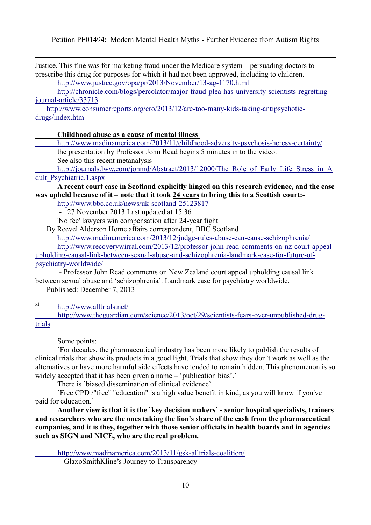-Justice. This fine was for marketing fraud under the Medicare system – persuading doctors to prescribe this drug for purposes for which it had not been approved, including to children. <http://www.justice.gov/opa/pr/2013/November/13-ag-1170.html>

 [http://chronicle.com/blogs/percolator/major-fraud-plea-has-university-scientists-regretting](http://chronicle.com/blogs/percolator/major-fraud-plea-has-university-scientists-regretting-journal-article/33713)[journal-article/33713](http://chronicle.com/blogs/percolator/major-fraud-plea-has-university-scientists-regretting-journal-article/33713)

 [http://www.consumerreports.org/cro/2013/12/are-too-many-kids-taking-antipsychotic](http://www.consumerreports.org/cro/2013/12/are-too-many-kids-taking-antipsychotic-drugs/index.htm)[drugs/index.htm](http://www.consumerreports.org/cro/2013/12/are-too-many-kids-taking-antipsychotic-drugs/index.htm)

 **Childhood abuse as a cause of mental illness** 

<http://www.madinamerica.com/2013/11/childhood-adversity-psychosis-heresy-certainty/>

 the presentation by Professor John Read begins 5 minutes in to the video. See also this recent metanalysis

http://journals.lww.com/jonmd/Abstract/2013/12000/The\_Role\_of\_Early\_Life\_Stress\_in\_A [dult\\_Psychiatric.1.aspx](http://journals.lww.com/jonmd/Abstract/2013/12000/The_Role_of_Early_Life_Stress_in_Adult_Psychiatric.1.aspx)

 **A recent court case in Scotland explicitly hinged on this research evidence, and the case was upheld because of it – note that it took 24 years to bring this to a Scottish court:-** 

<http://www.bbc.co.uk/news/uk-scotland-25123817>

- 27 November 2013 Last updated at 15:36

'No fee' lawyers win compensation after 24-year fight

By Reevel Alderson Home affairs correspondent, BBC Scotland

<http://www.madinamerica.com/2013/12/judge-rules-abuse-can-cause-schizophrenia/>

 [http://www.recoverywirral.com/2013/12/professor-john-read-comments-on-nz-court-appeal](http://www.recoverywirral.com/2013/12/professor-john-read-comments-on-nz-court-appeal-upholding-causal-link-between-sexual-abuse-and-schizophrenia-landmark-case-for-future-of-psychiatry-worldwide/)[upholding-causal-link-between-sexual-abuse-and-schizophrenia-landmark-case-for-future-of](http://www.recoverywirral.com/2013/12/professor-john-read-comments-on-nz-court-appeal-upholding-causal-link-between-sexual-abuse-and-schizophrenia-landmark-case-for-future-of-psychiatry-worldwide/)[psychiatry-worldwide/](http://www.recoverywirral.com/2013/12/professor-john-read-comments-on-nz-court-appeal-upholding-causal-link-between-sexual-abuse-and-schizophrenia-landmark-case-for-future-of-psychiatry-worldwide/)

 - Professor John Read comments on New Zealand court appeal upholding causal link between sexual abuse and 'schizophrenia'. Landmark case for psychiatry worldwide.

Published: December 7, 2013

xi<http://www.alltrials.net/>

 [http://www.theguardian.com/science/2013/oct/29/scientists-fears-over-unpublished-drug](http://www.theguardian.com/science/2013/oct/29/scientists-fears-over-unpublished-drug-trials)[trials](http://www.theguardian.com/science/2013/oct/29/scientists-fears-over-unpublished-drug-trials)

Some points:

 `For decades, the pharmaceutical industry has been more likely to publish the results of clinical trials that show its products in a good light. Trials that show they don't work as well as the alternatives or have more harmful side effects have tended to remain hidden. This phenomenon is so widely accepted that it has been given a name – 'publication bias'.

There is `biased dissemination of clinical evidence`

 `Free CPD /"free" "education" is a high value benefit in kind, as you will know if you've paid for education.`

 **Another view is that it is the `key decision makers` - senior hospital specialists, trainers and researchers who are the ones taking the lion's share of the cash from the pharmaceutical companies, and it is they, together with those senior officials in health boards and in agencies such as SIGN and NICE, who are the real problem.** 

<http://www.madinamerica.com/2013/11/gsk-alltrials-coalition/>

- GlaxoSmithKline's Journey to Transparency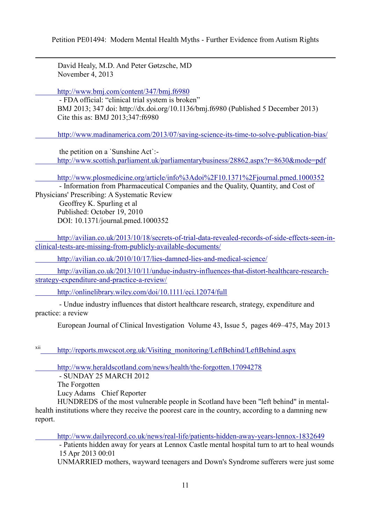David Healy, M.D. And Peter Gøtzsche, MD November 4, 2013

-

<http://www.bmj.com/content/347/bmj.f6980>

 - FDA official: "clinical trial system is broken" BMJ 2013; 347 doi: http://dx.doi.org/10.1136/bmj.f6980 (Published 5 December 2013) Cite this as: BMJ 2013;347:f6980

<http://www.madinamerica.com/2013/07/saving-science-its-time-to-solve-publication-bias/>

 the petition on a `Sunshine Act`: <http://www.scottish.parliament.uk/parliamentarybusiness/28862.aspx?r=8630&mode=pdf>

<http://www.plosmedicine.org/article/info%3Adoi%2F10.1371%2Fjournal.pmed.1000352>

 - Information from Pharmaceutical Companies and the Quality, Quantity, and Cost of Physicians' Prescribing: A Systematic Review Geoffrey K. Spurling et al Published: October 19, 2010 DOI: 10.1371/journal.pmed.1000352

 [http://avilian.co.uk/2013/10/18/secrets-of-trial-data-revealed-records-of-side-effects-seen-in](http://avilian.co.uk/2013/10/18/secrets-of-trial-data-revealed-records-of-side-effects-seen-in-clinical-tests-are-missing-from-publicly-available-documents/)[clinical-tests-are-missing-from-publicly-available-documents/](http://avilian.co.uk/2013/10/18/secrets-of-trial-data-revealed-records-of-side-effects-seen-in-clinical-tests-are-missing-from-publicly-available-documents/)

<http://avilian.co.uk/2010/10/17/lies-damned-lies-and-medical-science/>

 [http://avilian.co.uk/2013/10/11/undue-industry-influences-that-distort-healthcare-research](http://avilian.co.uk/2013/10/11/undue-industry-influences-that-distort-healthcare-research-strategy-expenditure-and-practice-a-review/)[strategy-expenditure-and-practice-a-review/](http://avilian.co.uk/2013/10/11/undue-industry-influences-that-distort-healthcare-research-strategy-expenditure-and-practice-a-review/)

<http://onlinelibrary.wiley.com/doi/10.1111/eci.12074/full>

 - Undue industry influences that distort healthcare research, strategy, expenditure and practice: a review

European Journal of Clinical Investigation Volume 43, Issue 5, pages 469–475, May 2013

xii [http://reports.mwcscot.org.uk/Visiting\\_monitoring/LeftBehind/LeftBehind.aspx](http://reports.mwcscot.org.uk/Visiting_monitoring/LeftBehind/LeftBehind.aspx)

<http://www.heraldscotland.com/news/health/the-forgotten.17094278>

- SUNDAY 25 MARCH 2012

The Forgotten

Lucy Adams Chief Reporter

 HUNDREDS of the most vulnerable people in Scotland have been "left behind" in mentalhealth institutions where they receive the poorest care in the country, according to a damning new report.

<http://www.dailyrecord.co.uk/news/real-life/patients-hidden-away-years-lennox-1832649>

 - Patients hidden away for years at Lennox Castle mental hospital turn to art to heal wounds 15 Apr 2013 00:01

UNMARRIED mothers, wayward teenagers and Down's Syndrome sufferers were just some